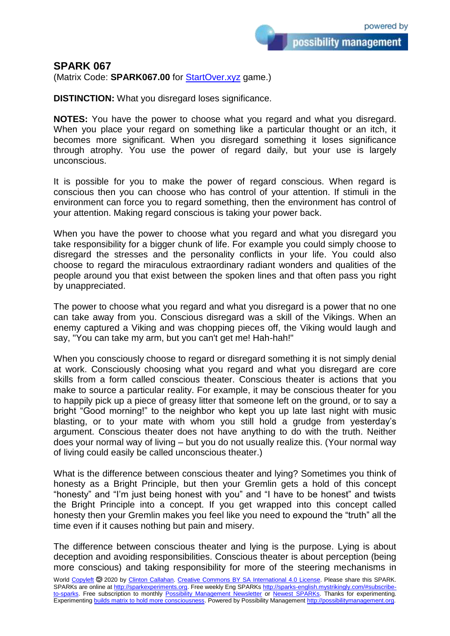## **SPARK 067**

(Matrix Code: **SPARK067.00** for [StartOver.xyz](https://startoverxyz.mystrikingly.com/) game.)

**DISTINCTION:** What you disregard loses significance.

**NOTES:** You have the power to choose what you regard and what you disregard. When you place your regard on something like a particular thought or an itch, it becomes more significant. When you disregard something it loses significance through atrophy. You use the power of regard daily, but your use is largely unconscious.

It is possible for you to make the power of regard conscious. When regard is conscious then you can choose who has control of your attention. If stimuli in the environment can force you to regard something, then the environment has control of your attention. Making regard conscious is taking your power back.

When you have the power to choose what you regard and what you disregard you take responsibility for a bigger chunk of life. For example you could simply choose to disregard the stresses and the personality conflicts in your life. You could also choose to regard the miraculous extraordinary radiant wonders and qualities of the people around you that exist between the spoken lines and that often pass you right by unappreciated.

The power to choose what you regard and what you disregard is a power that no one can take away from you. Conscious disregard was a skill of the Vikings. When an enemy captured a Viking and was chopping pieces off, the Viking would laugh and say, "You can take my arm, but you can't get me! Hah-hah!"

When you consciously choose to regard or disregard something it is not simply denial at work. Consciously choosing what you regard and what you disregard are core skills from a form called conscious theater. Conscious theater is actions that you make to source a particular reality. For example, it may be conscious theater for you to happily pick up a piece of greasy litter that someone left on the ground, or to say a bright "Good morning!" to the neighbor who kept you up late last night with music blasting, or to your mate with whom you still hold a grudge from yesterday's argument. Conscious theater does not have anything to do with the truth. Neither does your normal way of living – but you do not usually realize this. (Your normal way of living could easily be called unconscious theater.)

What is the difference between conscious theater and lying? Sometimes you think of honesty as a Bright Principle, but then your Gremlin gets a hold of this concept "honesty" and "I'm just being honest with you" and "I have to be honest" and twists the Bright Principle into a concept. If you get wrapped into this concept called honesty then your Gremlin makes you feel like you need to expound the "truth" all the time even if it causes nothing but pain and misery.

The difference between conscious theater and lying is the purpose. Lying is about deception and avoiding responsibilities. Conscious theater is about perception (being more conscious) and taking responsibility for more of the steering mechanisms in